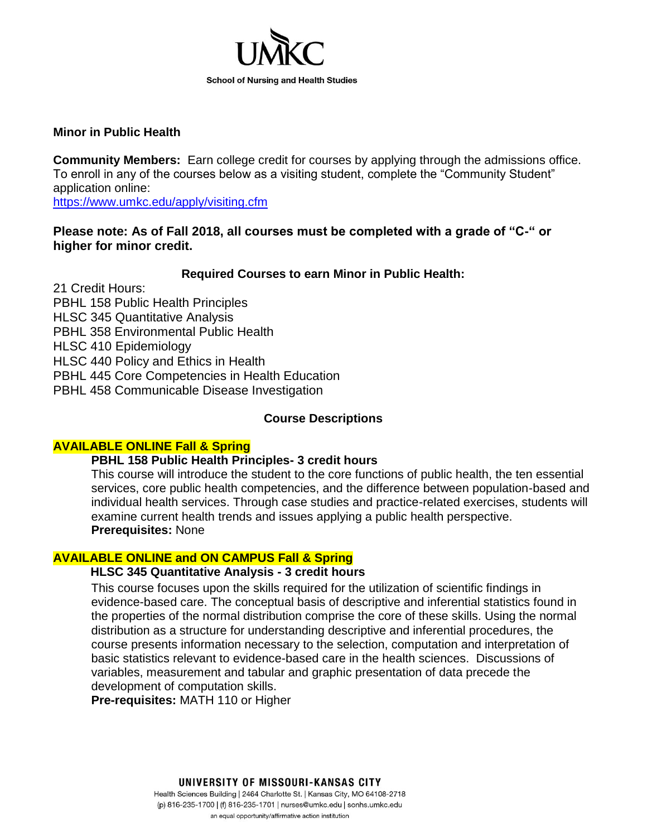

### **Minor in Public Health**

**Community Members:** Earn college credit for courses by applying through the admissions office. To enroll in any of the courses below as a visiting student, complete the "Community Student" application online:

https://www.umkc.edu/apply/visiting.cfm

# **Please note: As of Fall 2018, all courses must be completed with a grade of "C-" or higher for minor credit.**

## **Required Courses to earn Minor in Public Health:**

21 Credit Hours:

- PBHL 158 Public Health Principles
- HLSC 345 Quantitative Analysis
- PBHL 358 Environmental Public Health
- HLSC 410 Epidemiology
- HLSC 440 Policy and Ethics in Health
- PBHL 445 Core Competencies in Health Education
- PBHL 458 Communicable Disease Investigation

# **Course Descriptions**

# **AVAILABLE ONLINE Fall & Spring**

# **PBHL 158 Public Health Principles- 3 credit hours**

This course will introduce the student to the core functions of public health, the ten essential services, core public health competencies, and the difference between population-based and individual health services. Through case studies and practice-related exercises, students will examine current health trends and issues applying a public health perspective. **Prerequisites:** None

# **AVAILABLE ONLINE and ON CAMPUS Fall & Spring**

## **HLSC 345 Quantitative Analysis - 3 credit hours**

This course focuses upon the skills required for the utilization of scientific findings in evidence-based care. The conceptual basis of descriptive and inferential statistics found in the properties of the normal distribution comprise the core of these skills. Using the normal distribution as a structure for understanding descriptive and inferential procedures, the course presents information necessary to the selection, computation and interpretation of basic statistics relevant to evidence-based care in the health sciences. Discussions of variables, measurement and tabular and graphic presentation of data precede the development of computation skills.

**Pre-requisites:** MATH 110 or Higher

UNIVERSITY OF MISSOURI-KANSAS CITY

Health Sciences Building | 2464 Charlotte St. | Kansas City, MO 64108-2718 (p) 816-235-1700 | (f) 816-235-1701 | nurses@umkc.edu | sonhs.umkc.edu an equal opportunity/affirmative action institution